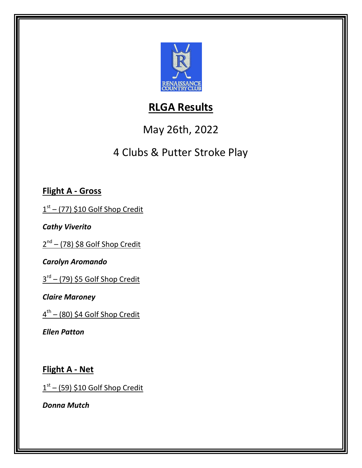

## **RLGA Results**

# May 26th, 2022

# 4 Clubs & Putter Stroke Play

### **Flight A - Gross**

1<sup>st</sup> – (77) \$10 Golf Shop Credit

*Cathy Viverito*

2<sup>nd</sup> – (78) \$8 Golf Shop Credit

*Carolyn Aromando*

3 rd – (79) \$5 Golf Shop Credit

*Claire Maroney*

4 th – (80) \$4 Golf Shop Credit

*Ellen Patton*

**Flight A - Net**

 $1<sup>st</sup>$  – (59) \$10 Golf Shop Credit

*Donna Mutch*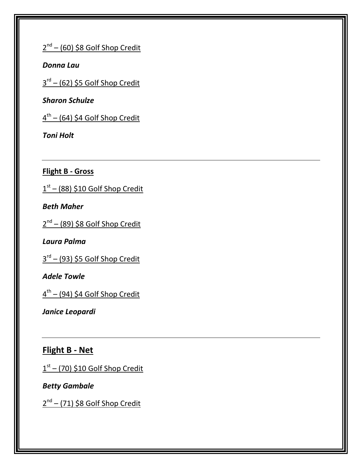2<sup>nd</sup> – (60) \$8 Golf Shop Credit

*Donna Lau*

3 rd – (62) \$5 Golf Shop Credit

*Sharon Schulze*

4 th – (64) \$4 Golf Shop Credit

*Toni Holt*

**Flight B - Gross**

 $1<sup>st</sup> - (88)$  \$10 Golf Shop Credit

*Beth Maher*

2<sup>nd</sup> – (89) \$8 Golf Shop Credit

*Laura Palma*

3 rd – (93) \$5 Golf Shop Credit

*Adele Towle*

4 th – (94) \$4 Golf Shop Credit

*Janice Leopardi*

**Flight B - Net**

 $1<sup>st</sup>$  – (70) \$10 Golf Shop Credit

*Betty Gambale*

2<sup>nd</sup> – (71) \$8 Golf Shop Credit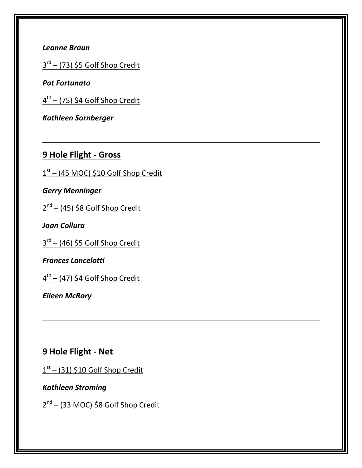#### *Leanne Braun*

3 rd – (73) \$5 Golf Shop Credit

*Pat Fortunato*

4 th – (75) \$4 Golf Shop Credit

*Kathleen Sornberger*

### **9 Hole Flight - Gross**

1 st – (45 MOC) \$10 Golf Shop Credit

*Gerry Menninger*

2<sup>nd</sup> – (45) \$8 Golf Shop Credit

*Joan Collura*

3 rd – (46) \$5 Golf Shop Credit

*Frances Lancelotti*

4 th – (47) \$4 Golf Shop Credit

*Eileen McRory*

**9 Hole Flight - Net**

1<sup>st</sup> – (31) \$10 Golf Shop Credit

*Kathleen Stroming*

2<sup>nd</sup> – (33 MOC) \$8 Golf Shop Credit